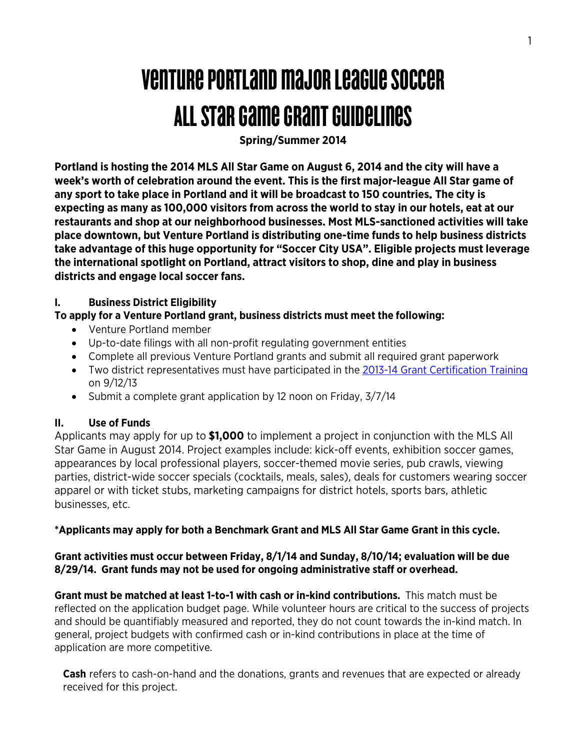# Venture Portland major leaguesoccer All star game grant guidelines

**Spring/Summer 2014**

**Portland is hosting the 2014 MLS All Star Game on August 6, 2014 and the city will have a week's worth of celebration around the event. This is the first major-league All Star game of any sport to take place in Portland and it will be broadcast to 150 countries. The city is expecting as many as 100,000 visitors from across the world to stay in our hotels, eat at our restaurants and shop at our neighborhood businesses. Most MLS-sanctioned activities will take place downtown, but Venture Portland is distributing one-time funds to help business districts take advantage of this huge opportunity for "Soccer City USA". Eligible projects must leverage the international spotlight on Portland, attract visitors to shop, dine and play in business districts and engage local soccer fans.**

#### **I. Business District Eligibility**

## **To apply for a Venture Portland grant, business districts must meet the following:**

- Venture Portland member
- Up-to-date filings with all non-profit regulating government entities
- Complete all previous Venture Portland grants and submit all required grant paperwork
- Two district representatives must have participated in the 2013-14 [Grant Certification Training](http://ventureportland.org/venture-out/grants-certification-training-09-12-2013/) on 9/12/13
- Submit a complete grant application by 12 noon on Friday, 3/7/14

# **II. Use of Funds**

Applicants may apply for up to **\$1,000** to implement a project in conjunction with the MLS All Star Game in August 2014. Project examples include: kick-off events, exhibition soccer games, appearances by local professional players, soccer-themed movie series, pub crawls, viewing parties, district-wide soccer specials (cocktails, meals, sales), deals for customers wearing soccer apparel or with ticket stubs, marketing campaigns for district hotels, sports bars, athletic businesses, etc.

# **\*Applicants may apply for both a Benchmark Grant and MLS All Star Game Grant in this cycle.**

## **Grant activities must occur between Friday, 8/1/14 and Sunday, 8/10/14; evaluation will be due 8/29/14. Grant funds may not be used for ongoing administrative staff or overhead.**

**Grant must be matched at least 1-to-1 with cash or in-kind contributions.** This match must be reflected on the application budget page. While volunteer hours are critical to the success of projects and should be quantifiably measured and reported, they do not count towards the in-kind match. In general, project budgets with confirmed cash or in-kind contributions in place at the time of application are more competitive.

**Cash** refers to cash-on-hand and the donations, grants and revenues that are expected or already received for this project.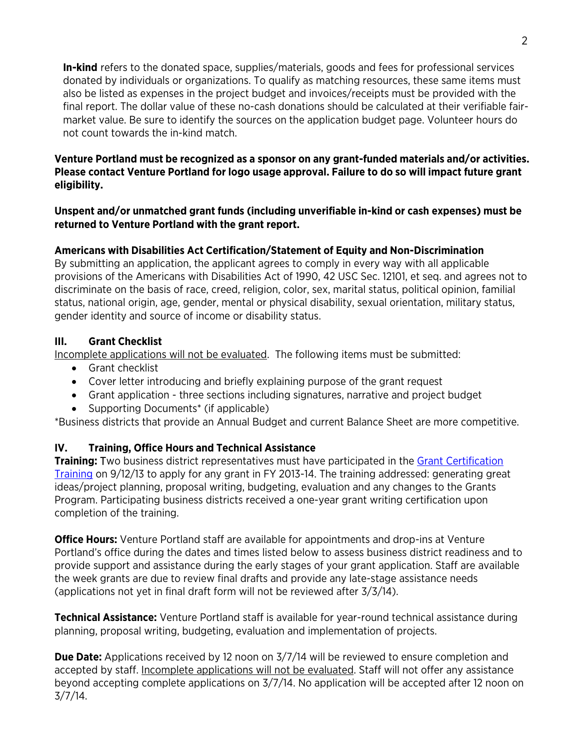**In-kind** refers to the donated space, supplies/materials, goods and fees for professional services donated by individuals or organizations. To qualify as matching resources, these same items must also be listed as expenses in the project budget and invoices/receipts must be provided with the final report. The dollar value of these no-cash donations should be calculated at their verifiable fairmarket value. Be sure to identify the sources on the application budget page. Volunteer hours do not count towards the in-kind match.

#### **Venture Portland must be recognized as a sponsor on any grant-funded materials and/or activities. Please contact Venture Portland for logo usage approval. Failure to do so will impact future grant eligibility.**

#### **Unspent and/or unmatched grant funds (including unverifiable in-kind or cash expenses) must be returned to Venture Portland with the grant report.**

## **Americans with Disabilities Act Certification/Statement of Equity and Non-Discrimination**

By submitting an application, the applicant agrees to comply in every way with all applicable provisions of the Americans with Disabilities Act of 1990, 42 USC Sec. 12101, et seq. and agrees not to discriminate on the basis of race, creed, religion, color, sex, marital status, political opinion, familial status, national origin, age, gender, mental or physical disability, sexual orientation, military status, gender identity and source of income or disability status.

## **III. Grant Checklist**

Incomplete applications will not be evaluated. The following items must be submitted:

- Grant checklist
- Cover letter introducing and briefly explaining purpose of the grant request
- Grant application three sections including signatures, narrative and project budget
- Supporting Documents\* (if applicable)

\*Business districts that provide an Annual Budget and current Balance Sheet are more competitive.

# **IV. Training, Office Hours and Technical Assistance**

**Training:** Two business district representatives must have participated in the **Grant Certification** [Training](http://ventureportland.org/venture-out/grants-certification-training-09-12-2013/) on 9/12/13 to apply for any grant in FY 2013-14. The training addressed: generating great ideas/project planning, proposal writing, budgeting, evaluation and any changes to the Grants Program. Participating business districts received a one-year grant writing certification upon completion of the training.

**Office Hours:** Venture Portland staff are available for appointments and drop-ins at Venture Portland's office during the dates and times listed below to assess business district readiness and to provide support and assistance during the early stages of your grant application. Staff are available the week grants are due to review final drafts and provide any late-stage assistance needs (applications not yet in final draft form will not be reviewed after 3/3/14).

**Technical Assistance:** Venture Portland staff is available for year-round technical assistance during planning, proposal writing, budgeting, evaluation and implementation of projects.

**Due Date:** Applications received by 12 noon on 3/7/14 will be reviewed to ensure completion and accepted by staff. Incomplete applications will not be evaluated. Staff will not offer any assistance beyond accepting complete applications on 3/7/14. No application will be accepted after 12 noon on 3/7/14.